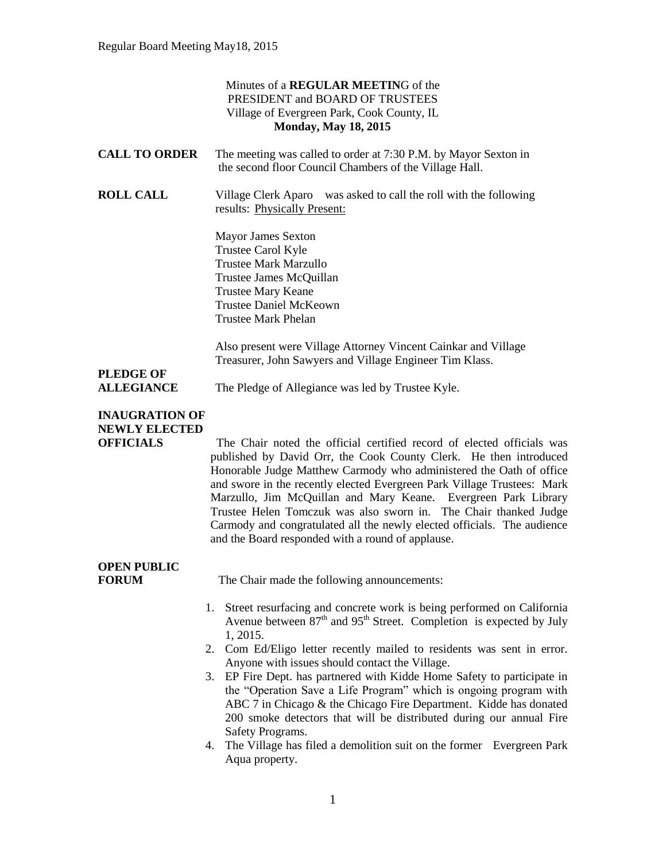#### Minutes of a **REGULAR MEETIN**G of the PRESIDENT and BOARD OF TRUSTEES Village of Evergreen Park, Cook County, IL **Monday, May 18, 2015 CALL TO ORDER** The meeting was called to order at 7:30 P.M. by Mayor Sexton in the second floor Council Chambers of the Village Hall. **ROLL CALL** Village Clerk Aparo was asked to call the roll with the following results: Physically Present: Mayor James Sexton Trustee Carol Kyle Trustee Mark Marzullo Trustee James McQuillan Trustee Mary Keane Trustee Daniel McKeown Trustee Mark Phelan Also present were Village Attorney Vincent Cainkar and Village Treasurer, John Sawyers and Village Engineer Tim Klass. **PLEDGE OF ALLEGIANCE** The Pledge of Allegiance was led by Trustee Kyle. **INAUGRATION OF NEWLY ELECTED OFFICIALS** The Chair noted the official certified record of elected officials was published by David Orr, the Cook County Clerk. He then introduced Honorable Judge Matthew Carmody who administered the Oath of office and swore in the recently elected Evergreen Park Village Trustees: Mark Marzullo, Jim McQuillan and Mary Keane. Evergreen Park Library Trustee Helen Tomczuk was also sworn in. The Chair thanked Judge Carmody and congratulated all the newly elected officials. The audience and the Board responded with a round of applause. **OPEN PUBLIC FORUM** The Chair made the following announcements: 1. Street resurfacing and concrete work is being performed on California Avenue between  $87<sup>th</sup>$  and  $95<sup>th</sup>$  Street. Completion is expected by July 1, 2015. 2. Com Ed/Eligo letter recently mailed to residents was sent in error. Anyone with issues should contact the Village. 3. EP Fire Dept. has partnered with Kidde Home Safety to participate in the "Operation Save a Life Program" which is ongoing program with ABC 7 in Chicago & the Chicago Fire Department. Kidde has donated 200 smoke detectors that will be distributed during our annual Fire Safety Programs.

4. The Village has filed a demolition suit on the former Evergreen Park Aqua property.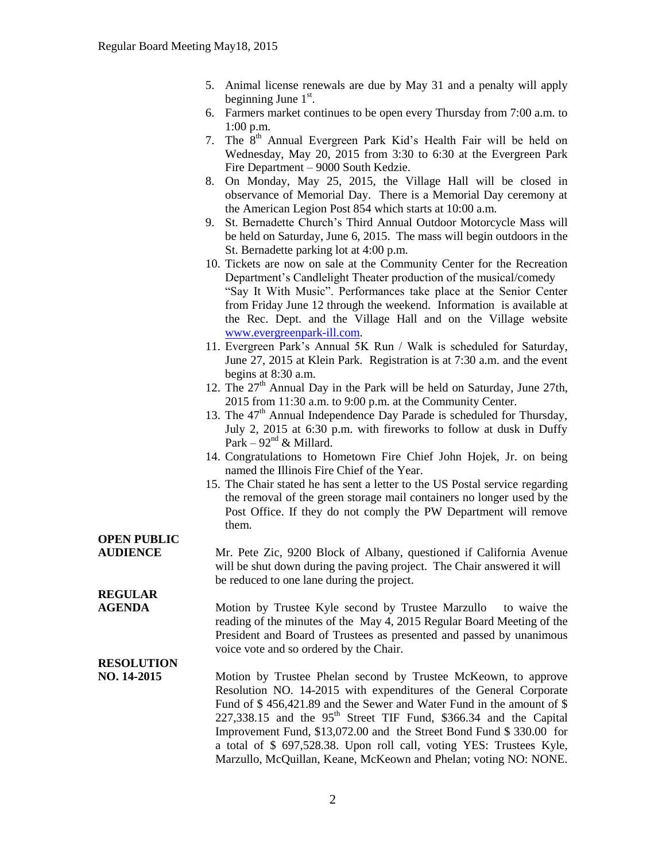- 5. Animal license renewals are due by May 31 and a penalty will apply beginning June  $1<sup>st</sup>$ .
- 6. Farmers market continues to be open every Thursday from 7:00 a.m. to 1:00 p.m.
- 7. The  $8<sup>th</sup>$  Annual Evergreen Park Kid's Health Fair will be held on Wednesday, May 20, 2015 from 3:30 to 6:30 at the Evergreen Park Fire Department – 9000 South Kedzie.
- 8. On Monday, May 25, 2015, the Village Hall will be closed in observance of Memorial Day. There is a Memorial Day ceremony at the American Legion Post 854 which starts at 10:00 a.m.
- 9. St. Bernadette Church's Third Annual Outdoor Motorcycle Mass will be held on Saturday, June 6, 2015. The mass will begin outdoors in the St. Bernadette parking lot at 4:00 p.m.
- 10. Tickets are now on sale at the Community Center for the Recreation Department's Candlelight Theater production of the musical/comedy "Say It With Music". Performances take place at the Senior Center from Friday June 12 through the weekend. Information is available at the Rec. Dept. and the Village Hall and on the Village website [www.evergreenpark-ill.com.](http://www.evergreenpark-ill.com/)
- 11. Evergreen Park's Annual 5K Run / Walk is scheduled for Saturday, June 27, 2015 at Klein Park. Registration is at 7:30 a.m. and the event begins at 8:30 a.m.
- 12. The  $27<sup>th</sup>$  Annual Day in the Park will be held on Saturday, June 27th, 2015 from 11:30 a.m. to 9:00 p.m. at the Community Center.
- 13. The 47<sup>th</sup> Annual Independence Day Parade is scheduled for Thursday, July 2, 2015 at 6:30 p.m. with fireworks to follow at dusk in Duffy Park –  $92<sup>nd</sup>$  & Millard.
- 14. Congratulations to Hometown Fire Chief John Hojek, Jr. on being named the Illinois Fire Chief of the Year.
- 15. The Chair stated he has sent a letter to the US Postal service regarding the removal of the green storage mail containers no longer used by the Post Office. If they do not comply the PW Department will remove them.

## **OPEN PUBLIC**

**REGULAR** 

**AUDIENCE** Mr. Pete Zic, 9200 Block of Albany, questioned if California Avenue will be shut down during the paving project. The Chair answered it will be reduced to one lane during the project.

**AGENDA Motion by Trustee Kyle second by Trustee Marzullo** to waive the reading of the minutes of the May 4, 2015 Regular Board Meeting of the President and Board of Trustees as presented and passed by unanimous voice vote and so ordered by the Chair.

### **RESOLUTION**

**NO. 14-2015** Motion by Trustee Phelan second by Trustee McKeown, to approve Resolution NO. 14-2015 with expenditures of the General Corporate Fund of \$ 456,421.89 and the Sewer and Water Fund in the amount of \$  $227.338.15$  and the  $95<sup>th</sup>$  Street TIF Fund, \$366.34 and the Capital Improvement Fund, \$13,072.00 and the Street Bond Fund \$ 330.00 for a total of \$ 697,528.38. Upon roll call, voting YES: Trustees Kyle, Marzullo, McQuillan, Keane, McKeown and Phelan; voting NO: NONE.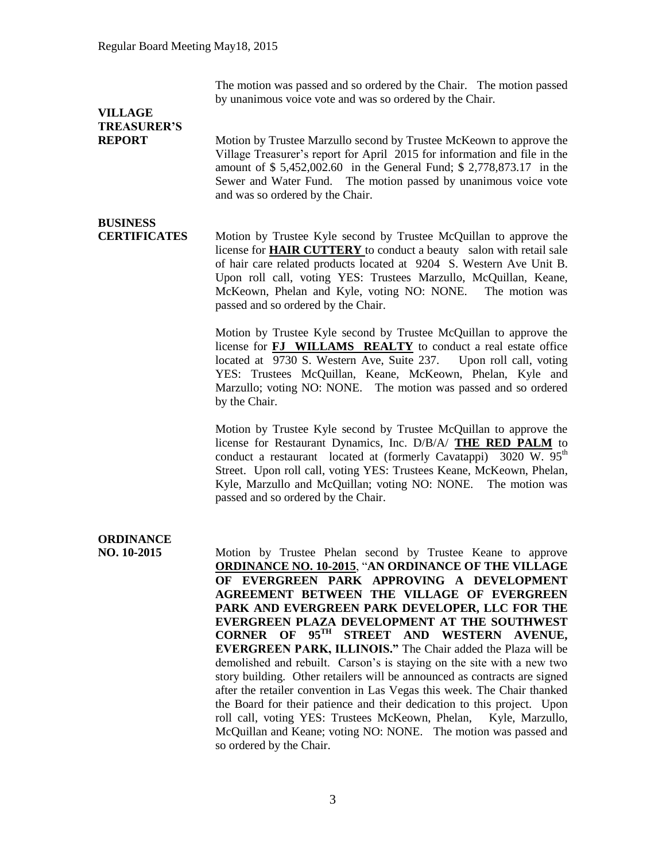The motion was passed and so ordered by the Chair. The motion passed by unanimous voice vote and was so ordered by the Chair.

## **VILLAGE TREASURER'S**

**REPORT** Motion by Trustee Marzullo second by Trustee McKeown to approve the Village Treasurer's report for April 2015 for information and file in the amount of \$ 5,452,002.60 in the General Fund; \$ 2,778,873.17 in the Sewer and Water Fund. The motion passed by unanimous voice vote and was so ordered by the Chair.

# **BUSINESS**

**CERTIFICATES** Motion by Trustee Kyle second by Trustee McQuillan to approve the license for **HAIR CUTTERY** to conduct a beauty salon with retail sale of hair care related products located at 9204 S. Western Ave Unit B. Upon roll call, voting YES: Trustees Marzullo, McQuillan, Keane, McKeown, Phelan and Kyle, voting NO: NONE. The motion was passed and so ordered by the Chair.

> Motion by Trustee Kyle second by Trustee McQuillan to approve the license for **FJ WILLAMS REALTY** to conduct a real estate office located at 9730 S. Western Ave, Suite 237. Upon roll call, voting YES: Trustees McQuillan, Keane, McKeown, Phelan, Kyle and Marzullo; voting NO: NONE. The motion was passed and so ordered by the Chair.

> Motion by Trustee Kyle second by Trustee McQuillan to approve the license for Restaurant Dynamics, Inc. D/B/A/ **THE RED PALM** to conduct a restaurant located at (formerly Cavatappi) 3020 W.  $95<sup>th</sup>$ Street. Upon roll call, voting YES: Trustees Keane, McKeown, Phelan, Kyle, Marzullo and McQuillan; voting NO: NONE. The motion was passed and so ordered by the Chair.

# **ORDINANCE**

**NO. 10-2015** Motion by Trustee Phelan second by Trustee Keane to approve **ORDINANCE NO. 10-2015**, "**AN ORDINANCE OF THE VILLAGE OF EVERGREEN PARK APPROVING A DEVELOPMENT AGREEMENT BETWEEN THE VILLAGE OF EVERGREEN PARK AND EVERGREEN PARK DEVELOPER, LLC FOR THE EVERGREEN PLAZA DEVELOPMENT AT THE SOUTHWEST CORNER OF 95TH STREET AND WESTERN AVENUE, EVERGREEN PARK, ILLINOIS."** The Chair added the Plaza will be demolished and rebuilt. Carson's is staying on the site with a new two story building. Other retailers will be announced as contracts are signed after the retailer convention in Las Vegas this week. The Chair thanked the Board for their patience and their dedication to this project. Upon roll call, voting YES: Trustees McKeown, Phelan, Kyle, Marzullo, McQuillan and Keane; voting NO: NONE. The motion was passed and so ordered by the Chair.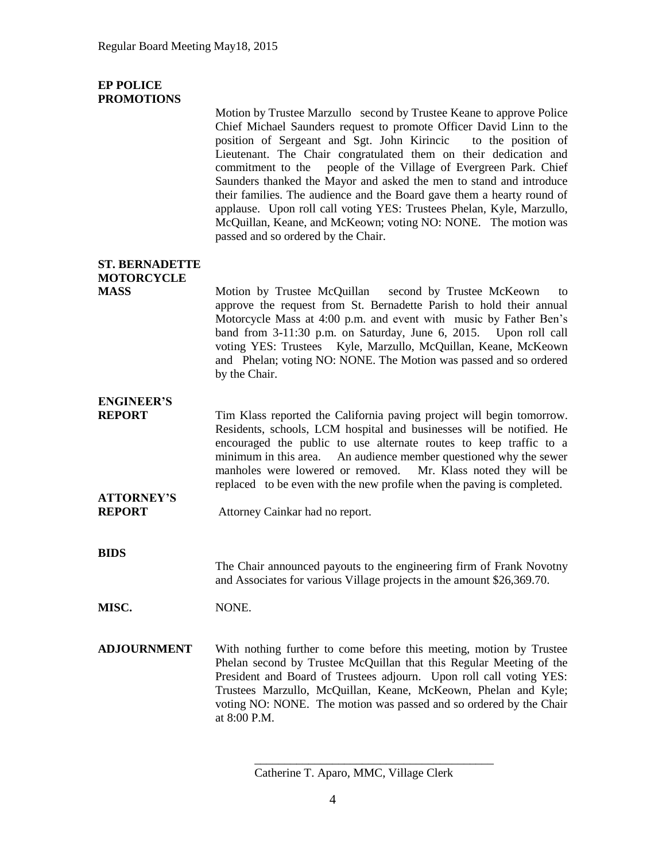#### **EP POLICE PROMOTIONS**

Motion by Trustee Marzullo second by Trustee Keane to approve Police Chief Michael Saunders request to promote Officer David Linn to the position of Sergeant and Sgt. John Kirincic to the position of Lieutenant. The Chair congratulated them on their dedication and commitment to the people of the Village of Evergreen Park. Chief Saunders thanked the Mayor and asked the men to stand and introduce their families. The audience and the Board gave them a hearty round of applause. Upon roll call voting YES: Trustees Phelan, Kyle, Marzullo, McQuillan, Keane, and McKeown; voting NO: NONE. The motion was passed and so ordered by the Chair.

## **ST. BERNADETTE MOTORCYCLE**

**MASS** Motion by Trustee McQuillan second by Trustee McKeown to approve the request from St. Bernadette Parish to hold their annual Motorcycle Mass at 4:00 p.m. and event with music by Father Ben's band from 3-11:30 p.m. on Saturday, June 6, 2015. Upon roll call voting YES: Trustees Kyle, Marzullo, McQuillan, Keane, McKeown and Phelan; voting NO: NONE. The Motion was passed and so ordered by the Chair.

# **ENGINEER'S**

**REPORT** Tim Klass reported the California paving project will begin tomorrow. Residents, schools, LCM hospital and businesses will be notified. He encouraged the public to use alternate routes to keep traffic to a minimum in this area. An audience member questioned why the sewer manholes were lowered or removed. Mr. Klass noted they will be replaced to be even with the new profile when the paving is completed.

# **ATTORNEY'S**

**REPORT** Attorney Cainkar had no report.

**BIDS**

The Chair announced payouts to the engineering firm of Frank Novotny and Associates for various Village projects in the amount \$26,369.70.

**MISC.** NONE.

**ADJOURNMENT** With nothing further to come before this meeting, motion by Trustee Phelan second by Trustee McQuillan that this Regular Meeting of the President and Board of Trustees adjourn. Upon roll call voting YES: Trustees Marzullo, McQuillan, Keane, McKeown, Phelan and Kyle; voting NO: NONE. The motion was passed and so ordered by the Chair at 8:00 P.M.

\_\_\_\_\_\_\_\_\_\_\_\_\_\_\_\_\_\_\_\_\_\_\_\_\_\_\_\_\_\_\_\_\_\_\_\_\_\_\_\_